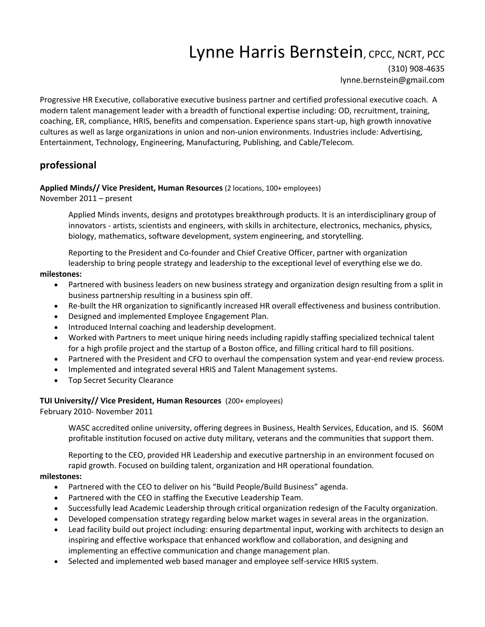# Lynne Harris Bernstein, CPCC, NCRT, PCC

(310) 908-4635 lynne.bernstein@gmail.com

Progressive HR Executive, collaborative executive business partner and certified professional executive coach. A modern talent management leader with a breadth of functional expertise including: OD, recruitment, training, coaching, ER, compliance, HRIS, benefits and compensation. Experience spans start-up, high growth innovative cultures as well as large organizations in union and non-union environments. Industries include: Advertising, Entertainment, Technology, Engineering, Manufacturing, Publishing, and Cable/Telecom.

## **professional**

## **Applied Minds// Vice President, Human Resources** (2 locations, 100+ employees)

November 2011 – present

Applied Minds invents, designs and prototypes breakthrough products. It is an interdisciplinary group of innovators - artists, scientists and engineers, with skills in architecture, electronics, mechanics, physics, biology, mathematics, software development, system engineering, and storytelling.

Reporting to the President and Co-founder and Chief Creative Officer, partner with organization leadership to bring people strategy and leadership to the exceptional level of everything else we do.

## **milestones:**

- Partnered with business leaders on new business strategy and organization design resulting from a split in business partnership resulting in a business spin off.
- Re-built the HR organization to significantly increased HR overall effectiveness and business contribution.
- Designed and implemented Employee Engagement Plan.
- Introduced Internal coaching and leadership development.
- Worked with Partners to meet unique hiring needs including rapidly staffing specialized technical talent for a high profile project and the startup of a Boston office, and filling critical hard to fill positions.
- Partnered with the President and CFO to overhaul the compensation system and year-end review process.
- Implemented and integrated several HRIS and Talent Management systems.
- Top Secret Security Clearance

## **TUI University// Vice President, Human Resources** (200+ employees)

February 2010- November 2011

WASC accredited online university, offering degrees in Business, Health Services, Education, and IS. \$60M profitable institution focused on active duty military, veterans and the communities that support them.

Reporting to the CEO, provided HR Leadership and executive partnership in an environment focused on rapid growth. Focused on building talent, organization and HR operational foundation.

## **milestones:**

- Partnered with the CEO to deliver on his "Build People/Build Business" agenda.
- Partnered with the CEO in staffing the Executive Leadership Team.
- Successfully lead Academic Leadership through critical organization redesign of the Faculty organization.
- Developed compensation strategy regarding below market wages in several areas in the organization.
- Lead facility build out project including: ensuring departmental input, working with architects to design an inspiring and effective workspace that enhanced workflow and collaboration, and designing and implementing an effective communication and change management plan.
- Selected and implemented web based manager and employee self-service HRIS system.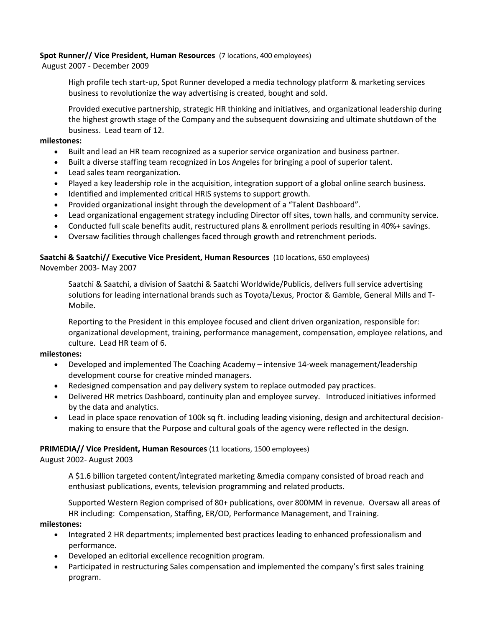## **Spot Runner// Vice President, Human Resources** (7 locations, 400 employees)

August 2007 - December 2009

High profile tech start-up, Spot Runner developed a media technology platform & marketing services business to revolutionize the way advertising is created, bought and sold.

Provided executive partnership, strategic HR thinking and initiatives, and organizational leadership during the highest growth stage of the Company and the subsequent downsizing and ultimate shutdown of the business. Lead team of 12.

## **milestones:**

- Built and lead an HR team recognized as a superior service organization and business partner.
- Built a diverse staffing team recognized in Los Angeles for bringing a pool of superior talent.
- Lead sales team reorganization.
- Played a key leadership role in the acquisition, integration support of a global online search business.
- Identified and implemented critical HRIS systems to support growth.
- Provided organizational insight through the development of a "Talent Dashboard".
- Lead organizational engagement strategy including Director off sites, town halls, and community service.
- Conducted full scale benefits audit, restructured plans & enrollment periods resulting in 40%+ savings.
- Oversaw facilities through challenges faced through growth and retrenchment periods.

## **Saatchi & Saatchi// Executive Vice President, Human Resources** (10 locations, 650 employees)

November 2003- May 2007

Saatchi & Saatchi, a division of Saatchi & Saatchi Worldwide/Publicis, delivers full service advertising solutions for leading international brands such as Toyota/Lexus, Proctor & Gamble, General Mills and T-Mobile.

Reporting to the President in this employee focused and client driven organization, responsible for: organizational development, training, performance management, compensation, employee relations, and culture. Lead HR team of 6.

## **milestones:**

- Developed and implemented The Coaching Academy intensive 14-week management/leadership development course for creative minded managers.
- Redesigned compensation and pay delivery system to replace outmoded pay practices.
- Delivered HR metrics Dashboard, continuity plan and employee survey. Introduced initiatives informed by the data and analytics.
- Lead in place space renovation of 100k sq ft. including leading visioning, design and architectural decisionmaking to ensure that the Purpose and cultural goals of the agency were reflected in the design.

## **PRIMEDIA// Vice President, Human Resources** (11 locations, 1500 employees)

August 2002- August 2003

A \$1.6 billion targeted content/integrated marketing &media company consisted of broad reach and enthusiast publications, events, television programming and related products.

Supported Western Region comprised of 80+ publications, over 800MM in revenue. Oversaw all areas of HR including: Compensation, Staffing, ER/OD, Performance Management, and Training.

## **milestones:**

- Integrated 2 HR departments; implemented best practices leading to enhanced professionalism and performance.
- Developed an editorial excellence recognition program.
- Participated in restructuring Sales compensation and implemented the company's first sales training program.